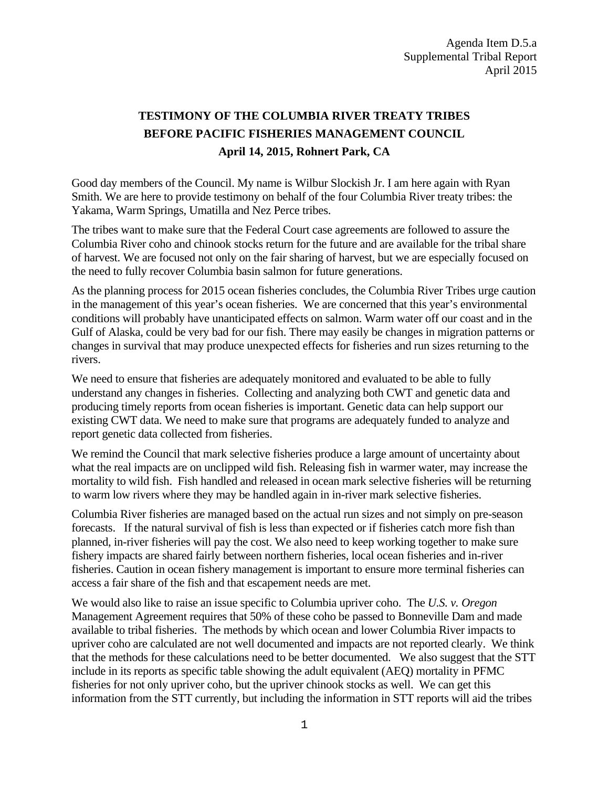## **TESTIMONY OF THE COLUMBIA RIVER TREATY TRIBES BEFORE PACIFIC FISHERIES MANAGEMENT COUNCIL April 14, 2015, Rohnert Park, CA**

Good day members of the Council. My name is Wilbur Slockish Jr. I am here again with Ryan Smith. We are here to provide testimony on behalf of the four Columbia River treaty tribes: the Yakama, Warm Springs, Umatilla and Nez Perce tribes.

The tribes want to make sure that the Federal Court case agreements are followed to assure the Columbia River coho and chinook stocks return for the future and are available for the tribal share of harvest. We are focused not only on the fair sharing of harvest, but we are especially focused on the need to fully recover Columbia basin salmon for future generations.

As the planning process for 2015 ocean fisheries concludes, the Columbia River Tribes urge caution in the management of this year's ocean fisheries. We are concerned that this year's environmental conditions will probably have unanticipated effects on salmon. Warm water off our coast and in the Gulf of Alaska, could be very bad for our fish. There may easily be changes in migration patterns or changes in survival that may produce unexpected effects for fisheries and run sizes returning to the rivers.

We need to ensure that fisheries are adequately monitored and evaluated to be able to fully understand any changes in fisheries. Collecting and analyzing both CWT and genetic data and producing timely reports from ocean fisheries is important. Genetic data can help support our existing CWT data. We need to make sure that programs are adequately funded to analyze and report genetic data collected from fisheries.

We remind the Council that mark selective fisheries produce a large amount of uncertainty about what the real impacts are on unclipped wild fish. Releasing fish in warmer water, may increase the mortality to wild fish. Fish handled and released in ocean mark selective fisheries will be returning to warm low rivers where they may be handled again in in-river mark selective fisheries.

Columbia River fisheries are managed based on the actual run sizes and not simply on pre-season forecasts. If the natural survival of fish is less than expected or if fisheries catch more fish than planned, in-river fisheries will pay the cost. We also need to keep working together to make sure fishery impacts are shared fairly between northern fisheries, local ocean fisheries and in-river fisheries. Caution in ocean fishery management is important to ensure more terminal fisheries can access a fair share of the fish and that escapement needs are met.

We would also like to raise an issue specific to Columbia upriver coho. The *U.S. v. Oregon* Management Agreement requires that 50% of these coho be passed to Bonneville Dam and made available to tribal fisheries. The methods by which ocean and lower Columbia River impacts to upriver coho are calculated are not well documented and impacts are not reported clearly. We think that the methods for these calculations need to be better documented. We also suggest that the STT include in its reports as specific table showing the adult equivalent (AEQ) mortality in PFMC fisheries for not only upriver coho, but the upriver chinook stocks as well. We can get this information from the STT currently, but including the information in STT reports will aid the tribes